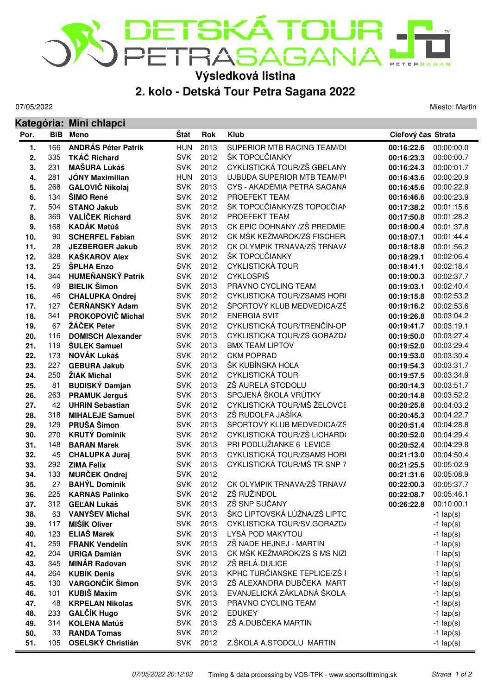

## **2. kolo - Detská Tour Petra Sagana 2022**

07/05/2022

**Kategória: Mini chlapci**

Miesto: Martin

| Por. |     | ו שעשוויט ווווווו שוווע<br><b>BiB</b> Meno        | Štát       | <b>Rok</b> | <b>Klub</b>                  | Cieľový čas Strata    |                          |
|------|-----|---------------------------------------------------|------------|------------|------------------------------|-----------------------|--------------------------|
|      | 166 |                                                   | <b>HUN</b> | 2013       | SUPERIOR MTB RACING TEAM/DI  |                       |                          |
| 1.   | 335 | <b>ANDRÁS Péter Patrik</b><br><b>TKÁČ Richard</b> | <b>SVK</b> | 2012       | ŠK TOPOĽČIANKY               | 00:16:22.6            | 00:00:00.0<br>00:00:00.7 |
| 2.   |     |                                                   |            |            | CYKLISTICKÁ TOUR/ZŠ GBELANY  | 00:16:23.3            |                          |
| 3.   | 231 | <b>MAŠURA Lukáš</b>                               | <b>SVK</b> | 2012       |                              | 00:16:24.3            | 00:00:01.7               |
| 4.   | 281 | <b>JÓNY Maximilian</b>                            | <b>HUN</b> | 2013       | UJBUDA SUPERIOR MTB TEAM/PI  | 00:16:43.6            | 00:00:20.9               |
| 5.   | 268 | <b>GALOVIČ Nikolaj</b>                            | <b>SVK</b> | 2013       | CYS - AKADÉMIA PETRA SAGANA  | 00:16:45.6            | 00:00:22.9               |
| 6.   | 134 | ŠIMO René                                         | <b>SVK</b> | 2012       | PROEFEKT TEAM                | 00:16:46.6            | 00:00:23.9               |
| 7.   | 504 | <b>STANO Jakub</b>                                | <b>SVK</b> | 2012       | ŠK TOPOĽČIANKY/ZŠ TOPOĽČIAN  | 00:17:38.2            | 00:01:15.6               |
| 8.   | 369 | <b>VALÍČEK Richard</b>                            | <b>SVK</b> | 2012       | PROEFEKT TEAM                | 00:17:50.8            | 00:01:28.2               |
| 9.   | 168 | <b>KADÁK Matúš</b>                                | <b>SVK</b> | 2013       | CK EPIC DOHNANY /ZŠ PREDMIE  | 00:18:00.4            | 00:01:37.8               |
| 10.  | 90  | <b>SCHERFEL Fabian</b>                            | <b>SVK</b> | 2012       | CK MŠK KEŽMAROK/ZŠ FISCHER.  | 00:18:07.1            | 00:01:44.4               |
| 11.  | 28  | <b>JEZBERGER Jakub</b>                            | <b>SVK</b> | 2012       | CK OLYMPIK TRNAVA/ZŠ TRNAVA  | 00:18:18.8            | 00:01:56.2               |
| 12.  | 328 | <b>KAŠKAROV Alex</b>                              | <b>SVK</b> | 2012       | ŠK TOPOĽČIANKY               | 00:18:29.1            | 00:02:06.4               |
| 13.  | 25  | <b>SPLHA Enzo</b>                                 | <b>SVK</b> | 2012       | <b>CYKLISTICKÁ TOUR</b>      | 00:18:41.1            | 00:02:18.4               |
| 14.  | 344 | <b>HUMEŇANSKÝ Patrik</b>                          | <b>SVK</b> | 2012       | <b>CYKLOSPIŠ</b>             | 00:19:00.3            | 00:02:37.7               |
| 15.  | 49  | <b>BIELIK Šimon</b>                               | <b>SVK</b> | 2013       | PRAVNO CYCLING TEAM          | 00:19:03.1            | 00:02:40.4               |
| 16.  | 46  | <b>CHALUPKA Ondrej</b>                            | <b>SVK</b> | 2012       | CYKLISTICKÁ TOUR/ZSAMS HORI  | 00:19:15.8            | 00:02:53.2               |
| 17.  | 127 | ČERŇANSKÝ Adam                                    | <b>SVK</b> | 2012       | ŠPORTOVÝ KLUB MEDVEDICA/ZŠ   | 00:19:16.2            | 00:02:53.6               |
| 18.  | 341 | PROKOPOVIČ Michal                                 | <b>SVK</b> | 2012       | <b>ENERGIA SVIT</b>          | 00:19:26.8            | 00:03:04.2               |
| 19.  | 67  | ŽÁČEK Peter                                       | <b>SVK</b> | 2012       | CYKLISTICKÁ TOUR/TRENČÍN-OP  | 00:19:41.7            | 00:03:19.1               |
| 20.  | 116 | <b>DOMISCH Alexander</b>                          | <b>SVK</b> | 2013       | CYKLISTICKÁ TOUR/ZŠ GORAZD/  | 00:19:50.0            | 00:03:27.4               |
| 21.  | 119 | <b>ŠULEK Samuel</b>                               | <b>SVK</b> | 2013       | <b>BMX TEAM LIPTOV</b>       | 00:19:52.0            | 00:03:29.4               |
| 22.  | 173 | <b>NOVÁK Lukáš</b>                                | <b>SVK</b> | 2012       | <b>CKM POPRAD</b>            | 00:19:53.0            | 00:03:30.4               |
| 23.  | 227 | <b>GEBURA Jakub</b>                               | <b>SVK</b> | 2013       | ŠK KUBÍNSKA HOĽA             | 00:19:54.3            | 00:03:31.7               |
| 24.  | 250 | ŽIAK Michal                                       | <b>SVK</b> | 2012       | <b>CYKLISTICKÁ TOUR</b>      | 00:19:57.5            | 00:03:34.9               |
| 25.  | 81  | <b>BUDISKÝ Damjan</b>                             | <b>SVK</b> | 2013       | ZŠ AURELA STODOLU            | 00:20:14.3            | 00:03:51.7               |
| 26.  | 263 | <b>PRAMUK Jerguš</b>                              | <b>SVK</b> | 2013       | SPOJENÁ ŠKOLA VRÚTKY         | 00:20:14.8            | 00:03:52.2               |
| 27.  | 42  | <b>UHRIN Sebastian</b>                            | <b>SVK</b> | 2012       | CYKLISTICKÁ TOUR/MŠ ŽELOVCE  | 00:20:25.8            | 00:04:03.2               |
| 28.  | 318 | <b>MIHALEJE Samuel</b>                            | <b>SVK</b> | 2013       | ZŠ RUDOLFA JAŠÍKA            | 00:20:45.3            | 00:04:22.7               |
| 29.  | 129 | PRUŠA Šimon                                       | <b>SVK</b> | 2013       | ŠPORTOVÝ KLUB MEDVEDICA/ZŠ   | 00:20:51.4            | 00:04:28.8               |
| 30.  | 270 | <b>KRUTÝ Dominik</b>                              | <b>SVK</b> | 2012       | CYKLISTICKÁ TOUR/ZŠ LICHARD( | 00:20:52.0            | 00:04:29.4               |
| 31.  | 148 | <b>BARAN Marek</b>                                | <b>SVK</b> | 2013       | PRI PODLUŽIANKE 6 LEVICE     | 00:20:52.4            | 00:04:29.8               |
| 32.  | 45  | <b>CHALUPKA Juraj</b>                             | <b>SVK</b> | 2013       | CYKLISTICKÁ TOUR/ZSAMS HORI  | 00:21:13.0            | 00:04:50.4               |
| 33.  | 292 | <b>ZIMA Felix</b>                                 | <b>SVK</b> | 2013       | CYKLISTICKÁ TOUR/MŠ TR SNP 7 | 00:21:25.5            | 00:05:02.9               |
| 34.  | 133 | <b>MURČEK Ondrej</b>                              | <b>SVK</b> | 2012       |                              | 00:21:31.6            | 00:05:08.9               |
| 35.  | 27  | <b>BAHÝL Dominik</b>                              | <b>SVK</b> | 2012       | CK OLYMPIK TRNAVA/ZŠ TRNAVA  | 00:22:00.3            | 00:05:37.7               |
| 36.  | 225 | <b>KARNAS Palinko</b>                             | <b>SVK</b> | 2012       | ZŠ RUŽINDOL                  | 00:22:08.7 00:05:46.1 |                          |
| 37.  |     | 312 GELAN Lukáš                                   | SVK        | 2013       | ZŠ SNP SUČANY                | 00:26:22.8            | 00:10:00.1               |
| 38.  | 63  | <b>VANYŠEV Michal</b>                             | <b>SVK</b> | 2013       | ŠKC LIPTOVSKÁ LÚŽNA/ZŠ LIPTO |                       | $-1$ lap(s)              |
| 39.  | 117 | <b>MIŠÍK Oliver</b>                               | <b>SVK</b> | 2013       | CYKLISTICKÁ TOUR/SV.GORAZD/  |                       | $-1$ lap(s)              |
| 40.  | 123 | <b>ELIAŠ Marek</b>                                | <b>SVK</b> | 2013       | LYSÁ POD MAKYTOU             |                       | $-1$ lap(s)              |
| 41.  | 259 | <b>FRANK Vendelín</b>                             | <b>SVK</b> | 2013       | ZŠ NADE HEJNEJ - MARTIN      |                       | $-1$ lap(s)              |
| 42.  | 204 | <b>URIGA Damián</b>                               | <b>SVK</b> | 2013       | CK MŠK KEŽMAROK/ZS S MS NIZI |                       | $-1$ lap(s)              |
| 43.  | 345 | <b>MINÁR Radovan</b>                              | <b>SVK</b> | 2012       | ZŠ BELÁ-DULICE               |                       | $-1$ lap(s)              |
| 44.  | 264 | <b>KUBÍK Denis</b>                                | <b>SVK</b> | 2013       | KPHC TURČIANSKE TEPLICE/ZŠ F |                       | $-1$ lap(s)              |
| 45.  | 130 | VARGONČÍK Šimon                                   | <b>SVK</b> | 2013       | ZŠ ALEXANDRA DUBČEKA MART    |                       | $-1$ lap(s)              |
| 46.  | 101 | <b>KUBIŠ Maxim</b>                                | <b>SVK</b> | 2013       | EVANJELICKÁ ZÁKLADNÁ ŠKOLA   |                       | $-1$ lap(s)              |
| 47.  | 48  | <b>KRPELAN Nikolas</b>                            | <b>SVK</b> | 2013       | PRAVNO CYCLING TEAM          |                       | $-1$ lap(s)              |
| 48.  | 233 | <b>GALČÍK Hugo</b>                                | <b>SVK</b> | 2012       | <b>EDUKEY</b>                |                       | $-1$ lap(s)              |
| 49.  | 314 | <b>KOLENA Matúš</b>                               | <b>SVK</b> | 2013       | ZŠ A.DUBČEKA MARTIN          |                       | $-1$ lap(s)              |
| 50.  | 33  | <b>RANDA Tomas</b>                                | <b>SVK</b> | 2012       |                              |                       | $-1$ lap(s)              |
| 51.  | 105 | <b>OSELSKÝ Christián</b>                          | <b>SVK</b> | 2012       | Z.ŠKOLA A.STODOLU MARTIN     |                       | $-1$ lap(s)              |